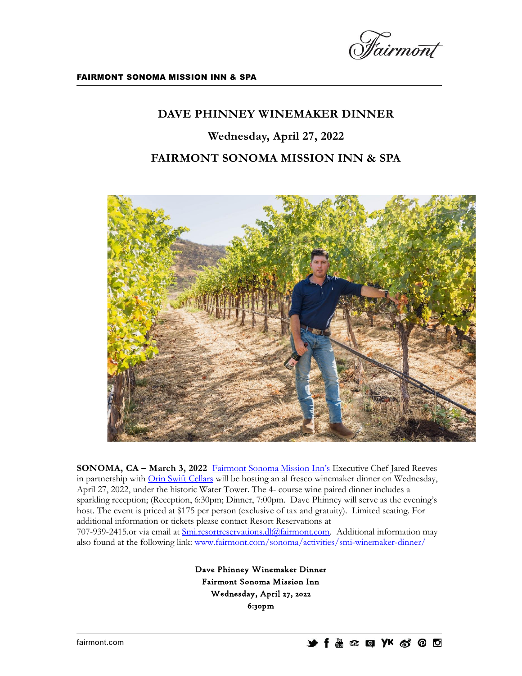

## **DAVE PHINNEY WINEMAKER DINNER**

**Wednesday, April 27, 2022 FAIRMONT SONOMA MISSION INN & SPA** 



**SONOMA, CA – March 3, 2022** Fairmont [Sonoma Mission Inn's](http://www.fairmont.com/sonoma) Executive Chef Jared Reeves in partnership with *Orin Swift Cellars* will be hosting an al fresco winemaker dinner on Wednesday, April 27, 2022, under the historic Water Tower. The 4- course wine paired dinner includes a sparkling reception; (Reception, 6:30pm; Dinner, 7:00pm. Dave Phinney will serve as the evening's host. The event is priced at \$175 per person (exclusive of tax and gratuity). Limited seating. For additional information or tickets please contact Resort Reservations at 707-939-2415.or via email at [Smi.resortreservations.dl@fairmont.com.](file://///SMINTSFPS02/Users/mheston/Press%20Releases/Smi.resortreservations.dl@fairmont.com) Additional information may also found at the following link: <www.fairmont.com/sonoma/activities/smi-winemaker-dinner/>

> Dave Phinney Winemaker Dinner Fairmont Sonoma Mission Inn Wednesday, April 27, 2022 6:30pm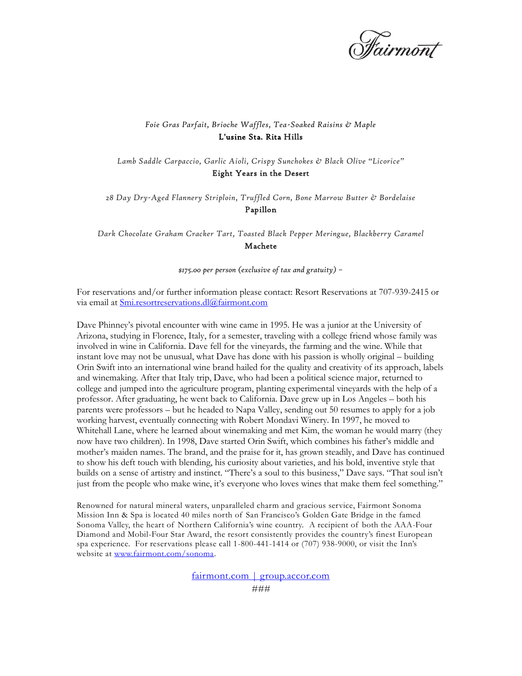

## *Foie Gras Parfait, Brioche Waffles, Tea-Soaked Raisins & Maple*  L'usine Sta. Rita Hills

*Lamb Saddle Carpaccio, Garlic Aioli, Crispy Sunchokes & Black Olive "Licorice"* Eight Years in the Desert

*28 Day Dry-Aged Flannery Striploin, Truffled Corn, Bone Marrow Butter & Bordelaise* Papillon

*Dark Chocolate Graham Cracker Tart, Toasted Black Pepper Meringue, Blackberry Caramel* Machete

*\$175.00 per person (exclusive of tax and gratuity) –*

For reservations and/or further information please contact: Resort Reservations at 707-939-2415 or via email at *Smi.resortreservations.dl@fairmont.com* 

Dave Phinney's pivotal encounter with wine came in 1995. He was a junior at the University of Arizona, studying in Florence, Italy, for a semester, traveling with a college friend whose family was involved in wine in California. Dave fell for the vineyards, the farming and the wine. While that instant love may not be unusual, what Dave has done with his passion is wholly original – building Orin Swift into an international wine brand hailed for the quality and creativity of its approach, labels and winemaking. After that Italy trip, Dave, who had been a political science major, returned to college and jumped into the agriculture program, planting experimental vineyards with the help of a professor. After graduating, he went back to California. Dave grew up in Los Angeles – both his parents were professors – but he headed to Napa Valley, sending out 50 resumes to apply for a job working harvest, eventually connecting with Robert Mondavi Winery. In 1997, he moved to Whitehall Lane, where he learned about winemaking and met Kim, the woman he would marry (they now have two children). In 1998, Dave started Orin Swift, which combines his father's middle and mother's maiden names. The brand, and the praise for it, has grown steadily, and Dave has continued to show his deft touch with blending, his curiosity about varieties, and his bold, inventive style that builds on a sense of artistry and instinct. "There's a soul to this business," Dave says. "That soul isn't just from the people who make wine, it's everyone who loves wines that make them feel something."

Renowned for natural mineral waters, unparalleled charm and gracious service, Fairmont Sonoma Mission Inn & Spa is located 40 miles north of San Francisco's Golden Gate Bridge in the famed Sonoma Valley, the heart of Northern California's wine country. A recipient of both the AAA-Four Diamond and Mobil-Four Star Award, the resort consistently provides the country's finest European spa experience. For reservations please call 1-800-441-1414 or (707) 938-9000, or visit the Inn's website at [www.fairmont.com/sonoma.](http://www.fairmont.com/sonoma)

fairmont.com | group.accor.com

*###*